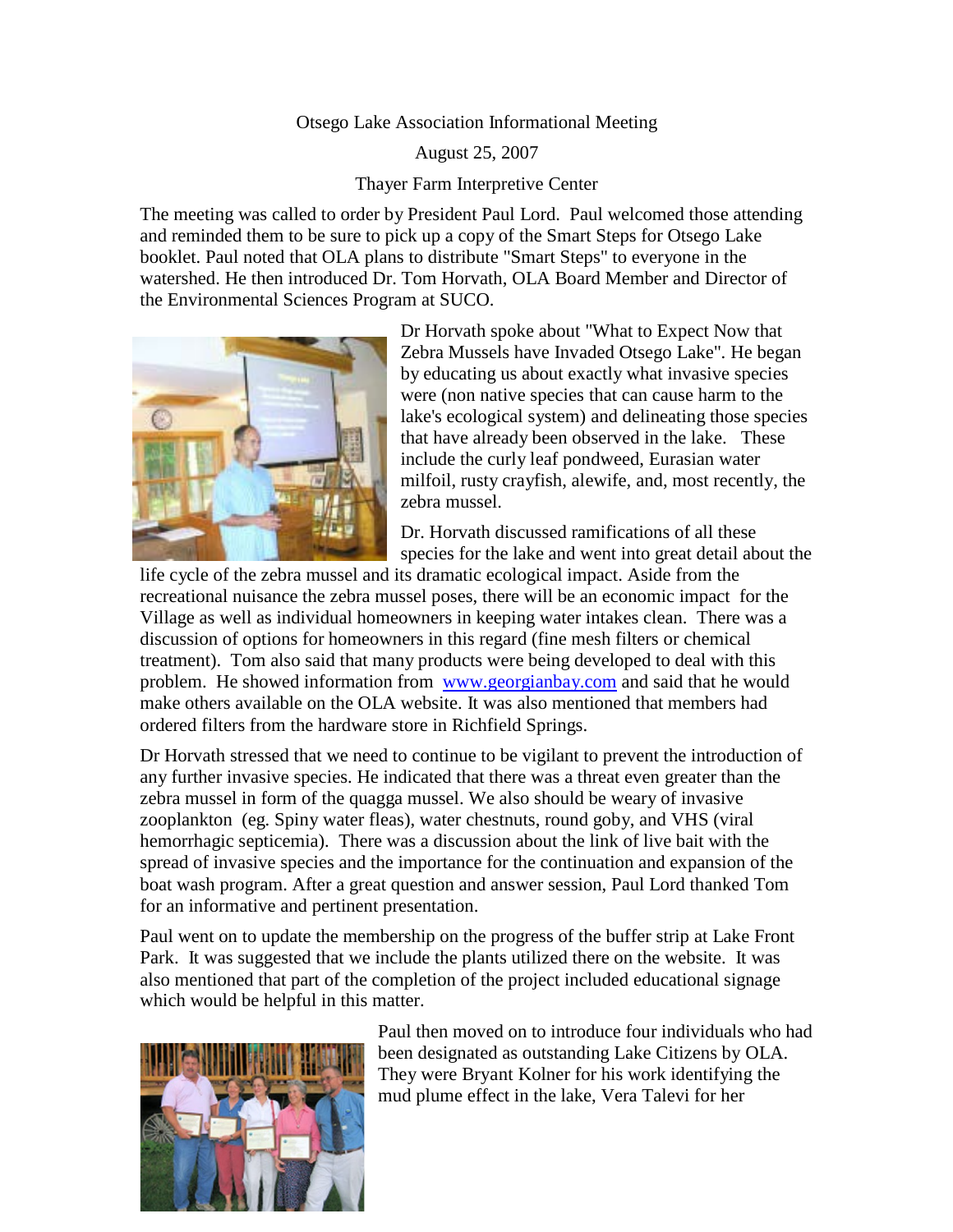## Otsego Lake Association Informational Meeting

August 25, 2007

Thayer Farm Interpretive Center

The meeting was called to order by President Paul Lord. Paul welcomed those attending and reminded them to be sure to pick up a copy of the Smart Steps for Otsego Lake booklet. Paul noted that OLA plans to distribute "Smart Steps" to everyone in the watershed. He then introduced Dr. Tom Horvath, OLA Board Member and Director of the Environmental Sciences Program at SUCO.



Dr Horvath spoke about "What to Expect Now that Zebra Mussels have Invaded Otsego Lake". He began by educating us about exactly what invasive species were (non native species that can cause harm to the lake's ecological system) and delineating those species that have already been observed in the lake. These include the curly leaf pondweed, Eurasian water milfoil, rusty crayfish, alewife, and, most recently, the zebra mussel.

Dr. Horvath discussed ramifications of all these species for the lake and went into great detail about the

life cycle of the zebra mussel and its dramatic ecological impact. Aside from the recreational nuisance the zebra mussel poses, there will be an economic impact for the Village as well as individual homeowners in keeping water intakes clean. There was a discussion of options for homeowners in this regard (fine mesh filters or chemical treatment). Tom also said that many products were being developed to deal with this problem. He showed information from [www.georgianbay.com](http://www.georgianbay.com/) and said that he would make others available on the OLA website. It was also mentioned that members had ordered filters from the hardware store in Richfield Springs.

Dr Horvath stressed that we need to continue to be vigilant to prevent the introduction of any further invasive species. He indicated that there was a threat even greater than the zebra mussel in form of the quagga mussel. We also should be weary of invasive zooplankton (eg. Spiny water fleas), water chestnuts, round goby, and VHS (viral hemorrhagic septicemia). There was a discussion about the link of live bait with the spread of invasive species and the importance for the continuation and expansion of the boat wash program. After a great question and answer session, Paul Lord thanked Tom for an informative and pertinent presentation.

Paul went on to update the membership on the progress of the buffer strip at Lake Front Park. It was suggested that we include the plants utilized there on the website. It was also mentioned that part of the completion of the project included educational signage which would be helpful in this matter.



Paul then moved on to introduce four individuals who had been designated as outstanding Lake Citizens by OLA. They were Bryant Kolner for his work identifying the mud plume effect in the lake, Vera Talevi for her